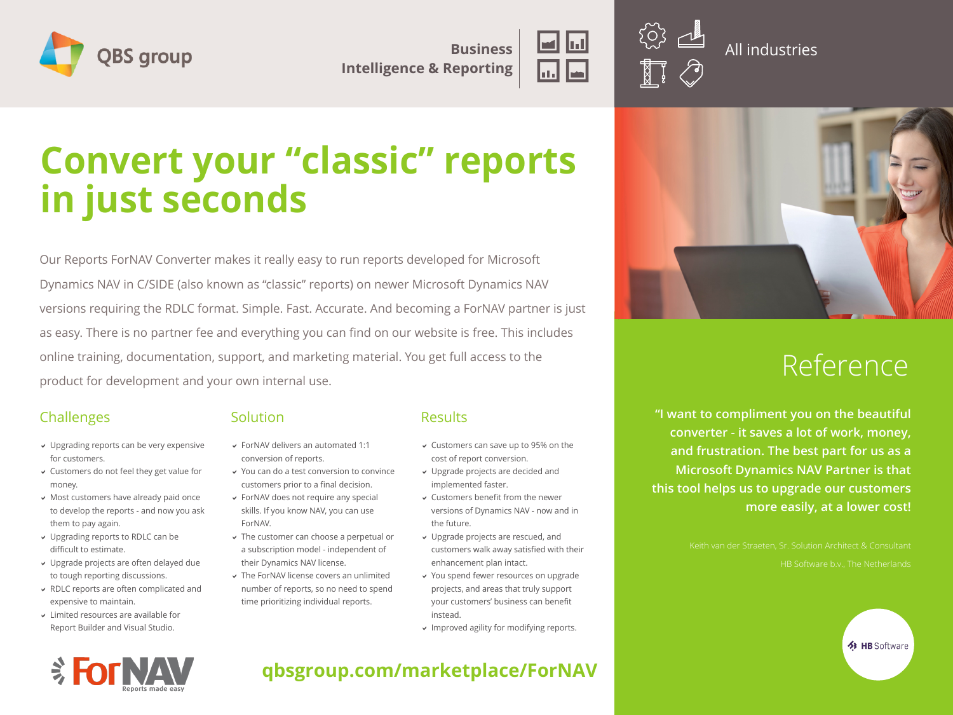

**Business Intelligence & Reporting**



All industries

# **Convert your "classic" reports in just seconds**

Our Reports ForNAV Converter makes it really easy to run reports developed for Microsoft Dynamics NAV in C/SIDE (also known as "classic" reports) on newer Microsoft Dynamics NAV versions requiring the RDLC format. Simple. Fast. Accurate. And becoming a ForNAV partner is just as easy. There is no partner fee and everything you can find on our website is free. This includes online training, documentation, support, and marketing material. You get full access to the product for development and your own internal use.

#### Challenges

- Upgrading reports can be very expensive for customers.
- Customers do not feel they get value for money.
- Most customers have already paid once to develop the reports - and now you ask them to pay again.
- Upgrading reports to RDLC can be difficult to estimate.
- Upgrade projects are often delayed due to tough reporting discussions.
- RDLC reports are often complicated and expensive to maintain.
- Limited resources are available for Report Builder and Visual Studio.

#### **Solution**

- ForNAV delivers an automated 1:1 conversion of reports.
- You can do a test conversion to convince customers prior to a final decision. ForNAV does not require any special
- skills. If you know NAV, you can use ForNAV.
- The customer can choose a perpetual or a subscription model - independent of their Dynamics NAV license.
- The ForNAV license covers an unlimited number of reports, so no need to spend time prioritizing individual reports.

#### **Results**

- Customers can save up to 95% on the cost of report conversion.
	- Upgrade projects are decided and implemented faster.
	- Customers benefit from the newer versions of Dynamics NAV - now and in the future.
	- Upgrade projects are rescued, and customers walk away satisfied with their enhancement plan intact.
	- You spend fewer resources on upgrade projects, and areas that truly support your customers' business can benefit instead.
	- Improved agility for modifying reports.



## Reference

**EXPLASE HB Software** 

**"I want to compliment you on the beautiful converter - it saves a lot of work, money, and frustration. The best part for us as a Microsoft Dynamics NAV Partner is that this tool helps us to upgrade our customers more easily, at a lower cost!**



**qbsgroup.com/marketplace/ForNAV**